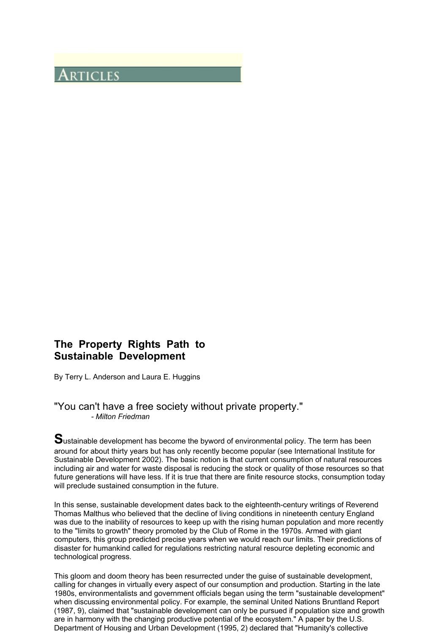# **ARTICLES**

## **The Property Rights Path to Sustainable Development**

By Terry L. Anderson and Laura E. Huggins

## "You can't have a free society without private property." *- Milton Friedman*

**S**ustainable development has become the byword of environmental policy. The term has been around for about thirty years but has only recently become popular (see International Institute for Sustainable Development 2002). The basic notion is that current consumption of natural resources including air and water for waste disposal is reducing the stock or quality of those resources so that future generations will have less. If it is true that there are finite resource stocks, consumption today will preclude sustained consumption in the future.

In this sense, sustainable development dates back to the eighteenth-century writings of Reverend Thomas Malthus who believed that the decline of living conditions in nineteenth century England was due to the inability of resources to keep up with the rising human population and more recently to the "limits to growth" theory promoted by the Club of Rome in the 1970s. Armed with giant computers, this group predicted precise years when we would reach our limits. Their predictions of disaster for humankind called for regulations restricting natural resource depleting economic and technological progress.

This gloom and doom theory has been resurrected under the guise of sustainable development, calling for changes in virtually every aspect of our consumption and production. Starting in the late 1980s, environmentalists and government officials began using the term "sustainable development" when discussing environmental policy. For example, the seminal United Nations Bruntland Report (1987, 9), claimed that "sustainable development can only be pursued if population size and growth are in harmony with the changing productive potential of the ecosystem." A paper by the U.S. Department of Housing and Urban Development (1995, 2) declared that "Humanity's collective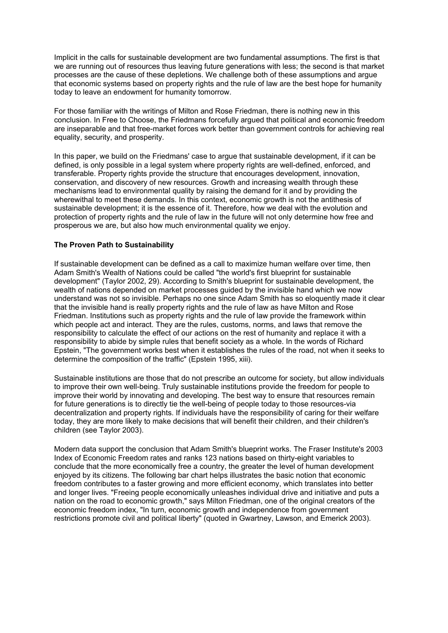Implicit in the calls for sustainable development are two fundamental assumptions. The first is that we are running out of resources thus leaving future generations with less; the second is that market processes are the cause of these depletions. We challenge both of these assumptions and argue that economic systems based on property rights and the rule of law are the best hope for humanity today to leave an endowment for humanity tomorrow.

For those familiar with the writings of Milton and Rose Friedman, there is nothing new in this conclusion. In Free to Choose, the Friedmans forcefully argued that political and economic freedom are inseparable and that free-market forces work better than government controls for achieving real equality, security, and prosperity.

In this paper, we build on the Friedmans' case to argue that sustainable development, if it can be defined, is only possible in a legal system where property rights are well-defined, enforced, and transferable. Property rights provide the structure that encourages development, innovation, conservation, and discovery of new resources. Growth and increasing wealth through these mechanisms lead to environmental quality by raising the demand for it and by providing the wherewithal to meet these demands. In this context, economic growth is not the antithesis of sustainable development; it is the essence of it. Therefore, how we deal with the evolution and protection of property rights and the rule of law in the future will not only determine how free and prosperous we are, but also how much environmental quality we enjoy.

#### **The Proven Path to Sustainability**

If sustainable development can be defined as a call to maximize human welfare over time, then Adam Smith's Wealth of Nations could be called "the world's first blueprint for sustainable development" (Taylor 2002, 29). According to Smith's blueprint for sustainable development, the wealth of nations depended on market processes guided by the invisible hand which we now understand was not so invisible. Perhaps no one since Adam Smith has so eloquently made it clear that the invisible hand is really property rights and the rule of law as have Milton and Rose Friedman. Institutions such as property rights and the rule of law provide the framework within which people act and interact. They are the rules, customs, norms, and laws that remove the responsibility to calculate the effect of our actions on the rest of humanity and replace it with a responsibility to abide by simple rules that benefit society as a whole. In the words of Richard Epstein, "The government works best when it establishes the rules of the road, not when it seeks to determine the composition of the traffic" (Epstein 1995, xiii).

Sustainable institutions are those that do not prescribe an outcome for society, but allow individuals to improve their own well-being. Truly sustainable institutions provide the freedom for people to improve their world by innovating and developing. The best way to ensure that resources remain for future generations is to directly tie the well-being of people today to those resources-via decentralization and property rights. If individuals have the responsibility of caring for their welfare today, they are more likely to make decisions that will benefit their children, and their children's children (see Taylor 2003).

Modern data support the conclusion that Adam Smith's blueprint works. The Fraser Institute's 2003 Index of Economic Freedom rates and ranks 123 nations based on thirty-eight variables to conclude that the more economically free a country, the greater the level of human development enjoyed by its citizens. The following bar chart helps illustrates the basic notion that economic freedom contributes to a faster growing and more efficient economy, which translates into better and longer lives. "Freeing people economically unleashes individual drive and initiative and puts a nation on the road to economic growth," says Milton Friedman, one of the original creators of the economic freedom index, "In turn, economic growth and independence from government restrictions promote civil and political liberty" (quoted in Gwartney, Lawson, and Emerick 2003).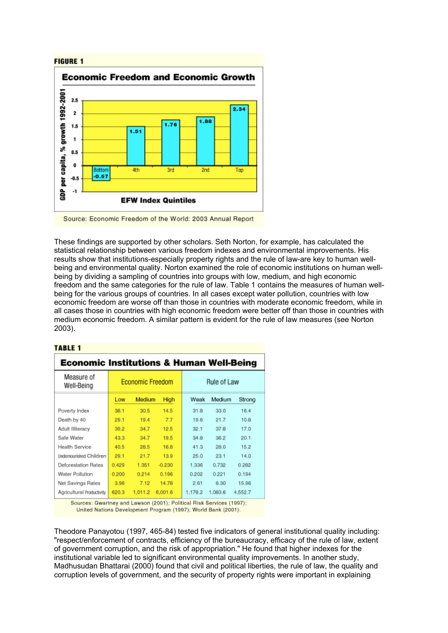

Source: Economic Freedom of the World: 2003 Annual Report

These findings are supported by other scholars. Seth Norton, for example, has calculated the statistical relationship between various freedom indexes and environmental improvements. His results show that institutions-especially property rights and the rule of law-are key to human wellbeing and environmental quality. Norton examined the role of economic institutions on human wellbeing by dividing a sampling of countries into groups with low, medium, and high economic freedom and the same categories for the rule of law. Table 1 contains the measures of human wellbeing for the various groups of countries. In all cases except water pollution, countries with low economic freedom are worse off than those in countries with moderate economic freedom, while in all cases those in countries with high economic freedom were better off than those in countries with medium economic freedom. A similar pattern is evident for the rule of law measures (see Norton 2003).

#### **TABLE 1**

| <b>Economic Institutions &amp; Human Well-Being</b> |                  |         |          |             |         |         |
|-----------------------------------------------------|------------------|---------|----------|-------------|---------|---------|
| Measure of<br>Well-Being                            | Economic Freedom |         |          | Rule of Law |         |         |
|                                                     | Low              | Medium  | High     | Weak        | Medium  | Strong  |
| Poverty Index                                       | 38.1             | 30.5    | 14.5     | 31.8        | 33.0    | 16.4    |
| Death by 40                                         | 29.1             | 19.4    | 7.7      | 19.6        | 21.7    | 10.8    |
| Adult Illiteracy                                    | 39.2             | 34.7    | 12.5     | 32.1        | 37.8    | 17.0    |
| Safe Water                                          | 43.3             | 34.7    | 19.5     | 34.8        | 36.2    | 20.1    |
| Health Service                                      | 40.5             | 28.5    | 16.8     | 41.3        | 28.0    | 15.2    |
| <b>Undemourished Children</b>                       | 29.1             | 21.7    | 13.9     | 25.0        | 23.1    | 14.0    |
| <b>Deforestation Rates</b>                          | 0.429            | 1.351   | $-0.230$ | 1.336       | 0.732   | 0.282   |
| Water Pollution                                     | 0.200            | 0.214   | 0.196    | 0.202       | 0.221   | 0.194   |
| Net Savings Rates                                   | 3.96             | 7.12    | 14.78    | 2.61        | 6.30    | 15.96   |
| Agricultural Productivity                           | 620.3            | 1.011.2 | 6,001.6  | 1.178.2     | 1.083.6 | 4,552.7 |

Sources: Gwartney and Lawson (2001); Political Risk Services (1997); United Nations Development Program (1997); World Bank (2001).

Theodore Panayotou (1997, 465-84) tested five indicators of general institutional quality including: "respect/enforcement of contracts, efficiency of the bureaucracy, efficacy of the rule of law, extent of government corruption, and the risk of appropriation." He found that higher indexes for the institutional variable led to significant environmental quality improvements. In another study, Madhusudan Bhattarai (2000) found that civil and political liberties, the rule of law, the quality and corruption levels of government, and the security of property rights were important in explaining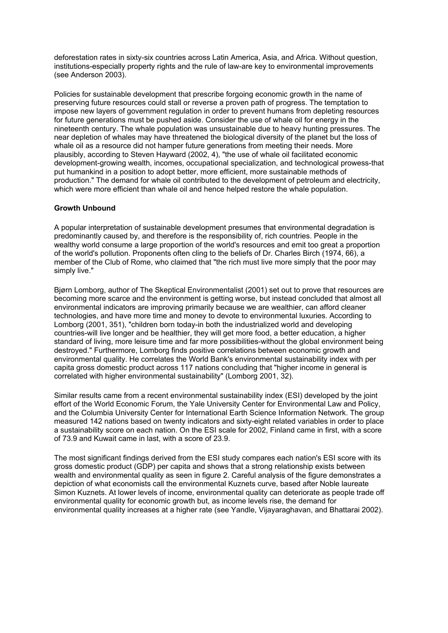deforestation rates in sixty-six countries across Latin America, Asia, and Africa. Without question, institutions-especially property rights and the rule of law-are key to environmental improvements (see Anderson 2003).

Policies for sustainable development that prescribe forgoing economic growth in the name of preserving future resources could stall or reverse a proven path of progress. The temptation to impose new layers of government regulation in order to prevent humans from depleting resources for future generations must be pushed aside. Consider the use of whale oil for energy in the nineteenth century. The whale population was unsustainable due to heavy hunting pressures. The near depletion of whales may have threatened the biological diversity of the planet but the loss of whale oil as a resource did not hamper future generations from meeting their needs. More plausibly, according to Steven Hayward (2002, 4), "the use of whale oil facilitated economic development-growing wealth, incomes, occupational specialization, and technological prowess-that put humankind in a position to adopt better, more efficient, more sustainable methods of production." The demand for whale oil contributed to the development of petroleum and electricity, which were more efficient than whale oil and hence helped restore the whale population.

#### **Growth Unbound**

A popular interpretation of sustainable development presumes that environmental degradation is predominantly caused by, and therefore is the responsibility of, rich countries. People in the wealthy world consume a large proportion of the world's resources and emit too great a proportion of the world's pollution. Proponents often cling to the beliefs of Dr. Charles Birch (1974, 66), a member of the Club of Rome, who claimed that "the rich must live more simply that the poor may simply live."

Bjørn Lomborg, author of The Skeptical Environmentalist (2001) set out to prove that resources are becoming more scarce and the environment is getting worse, but instead concluded that almost all environmental indicators are improving primarily because we are wealthier, can afford cleaner technologies, and have more time and money to devote to environmental luxuries. According to Lomborg (2001, 351), "children born today-in both the industrialized world and developing countries-will live longer and be healthier, they will get more food, a better education, a higher standard of living, more leisure time and far more possibilities-without the global environment being destroyed." Furthermore, Lomborg finds positive correlations between economic growth and environmental quality. He correlates the World Bank's environmental sustainability index with per capita gross domestic product across 117 nations concluding that "higher income in general is correlated with higher environmental sustainability" (Lomborg 2001, 32).

Similar results came from a recent environmental sustainability index (ESI) developed by the joint effort of the World Economic Forum, the Yale University Center for Environmental Law and Policy, and the Columbia University Center for International Earth Science Information Network. The group measured 142 nations based on twenty indicators and sixty-eight related variables in order to place a sustainability score on each nation. On the ESI scale for 2002, Finland came in first, with a score of 73.9 and Kuwait came in last, with a score of 23.9.

The most significant findings derived from the ESI study compares each nation's ESI score with its gross domestic product (GDP) per capita and shows that a strong relationship exists between wealth and environmental quality as seen in figure 2. Careful analysis of the figure demonstrates a depiction of what economists call the environmental Kuznets curve, based after Noble laureate Simon Kuznets. At lower levels of income, environmental quality can deteriorate as people trade off environmental quality for economic growth but, as income levels rise, the demand for environmental quality increases at a higher rate (see Yandle, Vijayaraghavan, and Bhattarai 2002).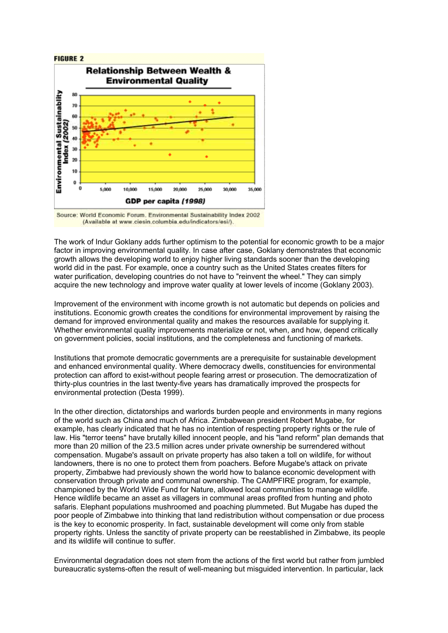

Source: World Economic Forum, Environmental Sustainability Index 2002 (Available at www.ciesin.columbia.edu/indicators/esi/).

The work of Indur Goklany adds further optimism to the potential for economic growth to be a major factor in improving environmental quality. In case after case, Goklany demonstrates that economic growth allows the developing world to enjoy higher living standards sooner than the developing world did in the past. For example, once a country such as the United States creates filters for water purification, developing countries do not have to "reinvent the wheel." They can simply acquire the new technology and improve water quality at lower levels of income (Goklany 2003).

Improvement of the environment with income growth is not automatic but depends on policies and institutions. Economic growth creates the conditions for environmental improvement by raising the demand for improved environmental quality and makes the resources available for supplying it. Whether environmental quality improvements materialize or not, when, and how, depend critically on government policies, social institutions, and the completeness and functioning of markets.

Institutions that promote democratic governments are a prerequisite for sustainable development and enhanced environmental quality. Where democracy dwells, constituencies for environmental protection can afford to exist-without people fearing arrest or prosecution. The democratization of thirty-plus countries in the last twenty-five years has dramatically improved the prospects for environmental protection (Desta 1999).

In the other direction, dictatorships and warlords burden people and environments in many regions of the world such as China and much of Africa. Zimbabwean president Robert Mugabe, for example, has clearly indicated that he has no intention of respecting property rights or the rule of law. His "terror teens" have brutally killed innocent people, and his "land reform" plan demands that more than 20 million of the 23.5 million acres under private ownership be surrendered without compensation. Mugabe's assault on private property has also taken a toll on wildlife, for without landowners, there is no one to protect them from poachers. Before Mugabe's attack on private property, Zimbabwe had previously shown the world how to balance economic development with conservation through private and communal ownership. The CAMPFIRE program, for example, championed by the World Wide Fund for Nature, allowed local communities to manage wildlife. Hence wildlife became an asset as villagers in communal areas profited from hunting and photo safaris. Elephant populations mushroomed and poaching plummeted. But Mugabe has duped the poor people of Zimbabwe into thinking that land redistribution without compensation or due process is the key to economic prosperity. In fact, sustainable development will come only from stable property rights. Unless the sanctity of private property can be reestablished in Zimbabwe, its people and its wildlife will continue to suffer.

Environmental degradation does not stem from the actions of the first world but rather from jumbled bureaucratic systems-often the result of well-meaning but misguided intervention. In particular, lack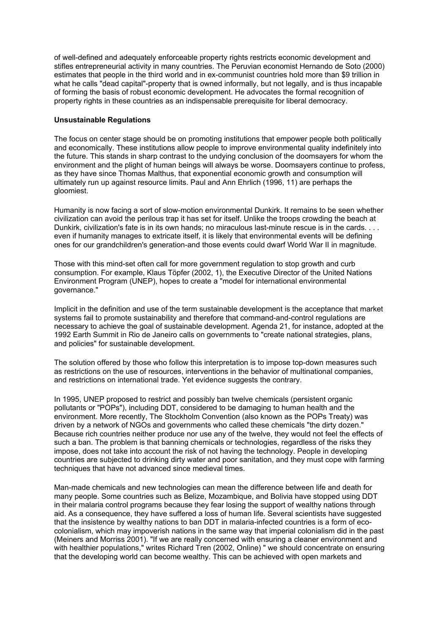of well-defined and adequately enforceable property rights restricts economic development and stifles entrepreneurial activity in many countries. The Peruvian economist Hernando de Soto (2000) estimates that people in the third world and in ex-communist countries hold more than \$9 trillion in what he calls "dead capital"-property that is owned informally, but not legally, and is thus incapable of forming the basis of robust economic development. He advocates the formal recognition of property rights in these countries as an indispensable prerequisite for liberal democracy.

#### **Unsustainable Regulations**

The focus on center stage should be on promoting institutions that empower people both politically and economically. These institutions allow people to improve environmental quality indefinitely into the future. This stands in sharp contrast to the undying conclusion of the doomsayers for whom the environment and the plight of human beings will always be worse. Doomsayers continue to profess, as they have since Thomas Malthus, that exponential economic growth and consumption will ultimately run up against resource limits. Paul and Ann Ehrlich (1996, 11) are perhaps the gloomiest.

Humanity is now facing a sort of slow-motion environmental Dunkirk. It remains to be seen whether civilization can avoid the perilous trap it has set for itself. Unlike the troops crowding the beach at Dunkirk, civilization's fate is in its own hands; no miraculous last-minute rescue is in the cards. . . . even if humanity manages to extricate itself, it is likely that environmental events will be defining ones for our grandchildren's generation-and those events could dwarf World War II in magnitude.

Those with this mind-set often call for more government regulation to stop growth and curb consumption. For example, Klaus Töpfer (2002, 1), the Executive Director of the United Nations Environment Program (UNEP), hopes to create a "model for international environmental governance."

Implicit in the definition and use of the term sustainable development is the acceptance that market systems fail to promote sustainability and therefore that command-and-control regulations are necessary to achieve the goal of sustainable development. Agenda 21, for instance, adopted at the 1992 Earth Summit in Rio de Janeiro calls on governments to "create national strategies, plans, and policies" for sustainable development.

The solution offered by those who follow this interpretation is to impose top-down measures such as restrictions on the use of resources, interventions in the behavior of multinational companies, and restrictions on international trade. Yet evidence suggests the contrary.

In 1995, UNEP proposed to restrict and possibly ban twelve chemicals (persistent organic pollutants or "POPs"), including DDT, considered to be damaging to human health and the environment. More recently, The Stockholm Convention (also known as the POPs Treaty) was driven by a network of NGOs and governments who called these chemicals "the dirty dozen." Because rich countries neither produce nor use any of the twelve, they would not feel the effects of such a ban. The problem is that banning chemicals or technologies, regardless of the risks they impose, does not take into account the risk of not having the technology. People in developing countries are subjected to drinking dirty water and poor sanitation, and they must cope with farming techniques that have not advanced since medieval times.

Man-made chemicals and new technologies can mean the difference between life and death for many people. Some countries such as Belize, Mozambique, and Bolivia have stopped using DDT in their malaria control programs because they fear losing the support of wealthy nations through aid. As a consequence, they have suffered a loss of human life. Several scientists have suggested that the insistence by wealthy nations to ban DDT in malaria-infected countries is a form of ecocolonialism, which may impoverish nations in the same way that imperial colonialism did in the past (Meiners and Morriss 2001). "If we are really concerned with ensuring a cleaner environment and with healthier populations," writes Richard Tren (2002, Online) " we should concentrate on ensuring that the developing world can become wealthy. This can be achieved with open markets and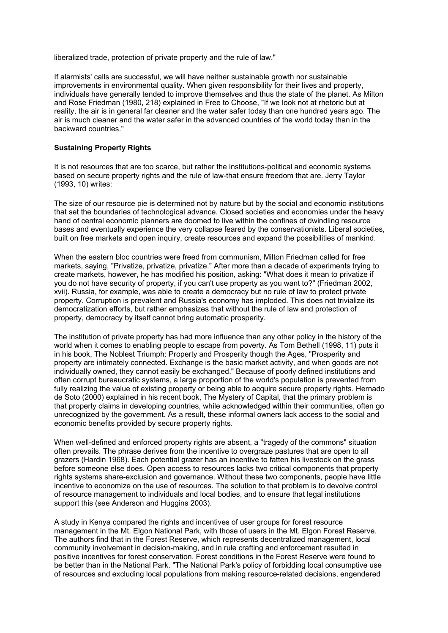liberalized trade, protection of private property and the rule of law."

If alarmists' calls are successful, we will have neither sustainable growth nor sustainable improvements in environmental quality. When given responsibility for their lives and property, individuals have generally tended to improve themselves and thus the state of the planet. As Milton and Rose Friedman (1980, 218) explained in Free to Choose, "If we look not at rhetoric but at reality, the air is in general far cleaner and the water safer today than one hundred years ago. The air is much cleaner and the water safer in the advanced countries of the world today than in the backward countries."

#### **Sustaining Property Rights**

It is not resources that are too scarce, but rather the institutions-political and economic systems based on secure property rights and the rule of law-that ensure freedom that are. Jerry Taylor (1993, 10) writes:

The size of our resource pie is determined not by nature but by the social and economic institutions that set the boundaries of technological advance. Closed societies and economies under the heavy hand of central economic planners are doomed to live within the confines of dwindling resource bases and eventually experience the very collapse feared by the conservationists. Liberal societies, built on free markets and open inquiry, create resources and expand the possibilities of mankind.

When the eastern bloc countries were freed from communism, Milton Friedman called for free markets, saying, "Privatize, privatize, privatize." After more than a decade of experiments trying to create markets, however, he has modified his position, asking: "What does it mean to privatize if you do not have security of property, if you can't use property as you want to?" (Friedman 2002, xvii). Russia, for example, was able to create a democracy but no rule of law to protect private property. Corruption is prevalent and Russia's economy has imploded. This does not trivialize its democratization efforts, but rather emphasizes that without the rule of law and protection of property, democracy by itself cannot bring automatic prosperity.

The institution of private property has had more influence than any other policy in the history of the world when it comes to enabling people to escape from poverty. As Tom Bethell (1998, 11) puts it in his book, The Noblest Triumph: Property and Prosperity though the Ages, "Prosperity and property are intimately connected. Exchange is the basic market activity, and when goods are not individually owned, they cannot easily be exchanged." Because of poorly defined institutions and often corrupt bureaucratic systems, a large proportion of the world's population is prevented from fully realizing the value of existing property or being able to acquire secure property rights. Hernado de Soto (2000) explained in his recent book, The Mystery of Capital, that the primary problem is that property claims in developing countries, while acknowledged within their communities, often go unrecognized by the government. As a result, these informal owners lack access to the social and economic benefits provided by secure property rights.

When well-defined and enforced property rights are absent, a "tragedy of the commons" situation often prevails. The phrase derives from the incentive to overgraze pastures that are open to all grazers (Hardin 1968). Each potential grazer has an incentive to fatten his livestock on the grass before someone else does. Open access to resources lacks two critical components that property rights systems share-exclusion and governance. Without these two components, people have little incentive to economize on the use of resources. The solution to that problem is to devolve control of resource management to individuals and local bodies, and to ensure that legal institutions support this (see Anderson and Huggins 2003).

A study in Kenya compared the rights and incentives of user groups for forest resource management in the Mt. Elgon National Park, with those of users in the Mt. Elgon Forest Reserve. The authors find that in the Forest Reserve, which represents decentralized management, local community involvement in decision-making, and in rule crafting and enforcement resulted in positive incentives for forest conservation. Forest conditions in the Forest Reserve were found to be better than in the National Park. "The National Park's policy of forbidding local consumptive use of resources and excluding local populations from making resource-related decisions, engendered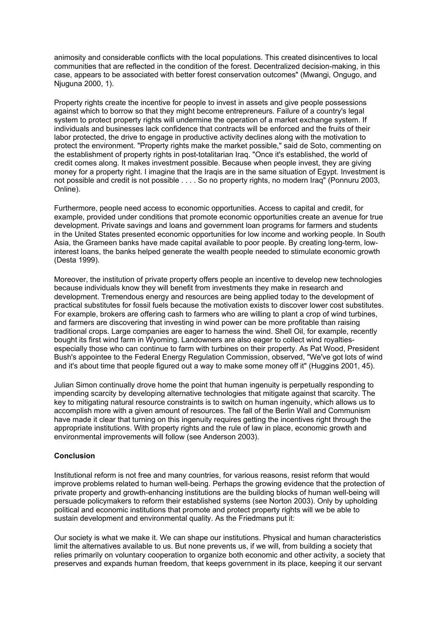animosity and considerable conflicts with the local populations. This created disincentives to local communities that are reflected in the condition of the forest. Decentralized decision-making, in this case, appears to be associated with better forest conservation outcomes" (Mwangi, Ongugo, and Njuguna 2000, 1).

Property rights create the incentive for people to invest in assets and give people possessions against which to borrow so that they might become entrepreneurs. Failure of a country's legal system to protect property rights will undermine the operation of a market exchange system. If individuals and businesses lack confidence that contracts will be enforced and the fruits of their labor protected, the drive to engage in productive activity declines along with the motivation to protect the environment. "Property rights make the market possible," said de Soto, commenting on the establishment of property rights in post-totalitarian Iraq. "Once it's established, the world of credit comes along. It makes investment possible. Because when people invest, they are giving money for a property right. I imagine that the Iraqis are in the same situation of Egypt. Investment is not possible and credit is not possible . . . . So no property rights, no modern Iraq" (Ponnuru 2003, Online).

Furthermore, people need access to economic opportunities. Access to capital and credit, for example, provided under conditions that promote economic opportunities create an avenue for true development. Private savings and loans and government loan programs for farmers and students in the United States presented economic opportunities for low income and working people. In South Asia, the Grameen banks have made capital available to poor people. By creating long-term, lowinterest loans, the banks helped generate the wealth people needed to stimulate economic growth (Desta 1999).

Moreover, the institution of private property offers people an incentive to develop new technologies because individuals know they will benefit from investments they make in research and development. Tremendous energy and resources are being applied today to the development of practical substitutes for fossil fuels because the motivation exists to discover lower cost substitutes. For example, brokers are offering cash to farmers who are willing to plant a crop of wind turbines, and farmers are discovering that investing in wind power can be more profitable than raising traditional crops. Large companies are eager to harness the wind. Shell Oil, for example, recently bought its first wind farm in Wyoming. Landowners are also eager to collect wind royaltiesespecially those who can continue to farm with turbines on their property. As Pat Wood, President Bush's appointee to the Federal Energy Regulation Commission, observed, "We've got lots of wind and it's about time that people figured out a way to make some money off it" (Huggins 2001, 45).

Julian Simon continually drove home the point that human ingenuity is perpetually responding to impending scarcity by developing alternative technologies that mitigate against that scarcity. The key to mitigating natural resource constraints is to switch on human ingenuity, which allows us to accomplish more with a given amount of resources. The fall of the Berlin Wall and Communism have made it clear that turning on this ingenuity requires getting the incentives right through the appropriate institutions. With property rights and the rule of law in place, economic growth and environmental improvements will follow (see Anderson 2003).

#### **Conclusion**

Institutional reform is not free and many countries, for various reasons, resist reform that would improve problems related to human well-being. Perhaps the growing evidence that the protection of private property and growth-enhancing institutions are the building blocks of human well-being will persuade policymakers to reform their established systems (see Norton 2003). Only by upholding political and economic institutions that promote and protect property rights will we be able to sustain development and environmental quality. As the Friedmans put it:

Our society is what we make it. We can shape our institutions. Physical and human characteristics limit the alternatives available to us. But none prevents us, if we will, from building a society that relies primarily on voluntary cooperation to organize both economic and other activity, a society that preserves and expands human freedom, that keeps government in its place, keeping it our servant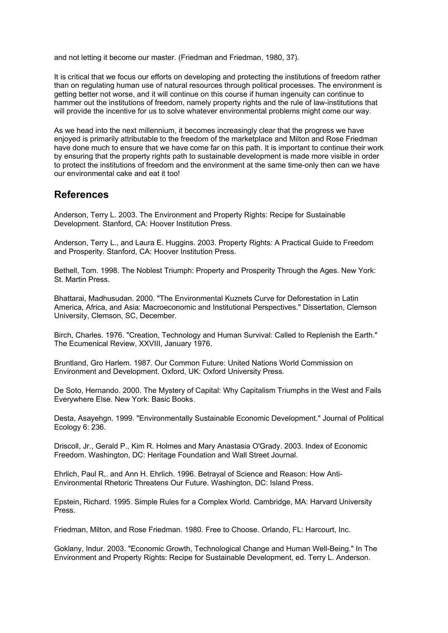and not letting it become our master. (Friedman and Friedman, 1980, 37).

It is critical that we focus our efforts on developing and protecting the institutions of freedom rather than on regulating human use of natural resources through political processes. The environment is getting better not worse, and it will continue on this course if human ingenuity can continue to hammer out the institutions of freedom, namely property rights and the rule of law-institutions that will provide the incentive for us to solve whatever environmental problems might come our way.

As we head into the next millennium, it becomes increasingly clear that the progress we have enjoyed is primarily attributable to the freedom of the marketplace and Milton and Rose Friedman have done much to ensure that we have come far on this path. It is important to continue their work by ensuring that the property rights path to sustainable development is made more visible in order to protect the institutions of freedom and the environment at the same time-only then can we have our environmental cake and eat it too!

### **References**

Anderson, Terry L. 2003. The Environment and Property Rights: Recipe for Sustainable Development. Stanford, CA: Hoover Institution Press.

Anderson, Terry L., and Laura E. Huggins. 2003. Property Rights: A Practical Guide to Freedom and Prosperity. Stanford, CA: Hoover Institution Press.

Bethell, Tom. 1998. The Noblest Triumph: Property and Prosperity Through the Ages. New York: St. Martin Press.

Bhattarai, Madhusudan. 2000. "The Environmental Kuznets Curve for Deforestation in Latin America, Africa, and Asia: Macroeconomic and Institutional Perspectives." Dissertation, Clemson University, Clemson, SC, December.

Birch, Charles. 1976. "Creation, Technology and Human Survival: Called to Replenish the Earth." The Ecumenical Review, XXVIII, January 1976.

Bruntland, Gro Harlem. 1987. Our Common Future: United Nations World Commission on Environment and Development. Oxford, UK: Oxford University Press.

De Soto, Hernando. 2000. The Mystery of Capital: Why Capitalism Triumphs in the West and Fails Everywhere Else. New York: Basic Books.

Desta, Asayehgn. 1999. "Environmentally Sustainable Economic Development." Journal of Political Ecology 6: 236.

Driscoll, Jr., Gerald P., Kim R. Holmes and Mary Anastasia O'Grady. 2003. Index of Economic Freedom. Washington, DC: Heritage Foundation and Wall Street Journal.

Ehrlich, Paul R,. and Ann H. Ehrlich. 1996. Betrayal of Science and Reason: How Anti-Environmental Rhetoric Threatens Our Future. Washington, DC: Island Press.

Epstein, Richard. 1995. Simple Rules for a Complex World. Cambridge, MA: Harvard University Press.

Friedman, Milton, and Rose Friedman. 1980. Free to Choose. Orlando, FL: Harcourt, Inc.

Goklany, Indur. 2003. "Economic Growth, Technological Change and Human Well-Being." In The Environment and Property Rights: Recipe for Sustainable Development, ed. Terry L. Anderson.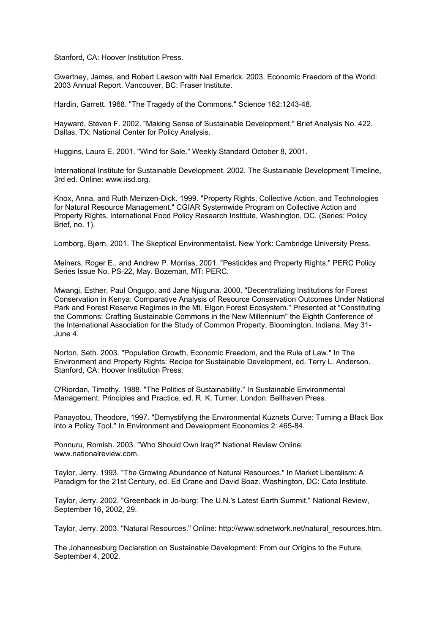Stanford, CA: Hoover Institution Press.

Gwartney, James, and Robert Lawson with Neil Emerick. 2003. Economic Freedom of the World: 2003 Annual Report. Vancouver, BC: Fraser Institute.

Hardin, Garrett. 1968. "The Tragedy of the Commons." Science 162:1243-48.

Hayward, Steven F. 2002. "Making Sense of Sustainable Development." Brief Analysis No. 422. Dallas, TX: National Center for Policy Analysis.

Huggins, Laura E. 2001. "Wind for Sale." Weekly Standard October 8, 2001.

International Institute for Sustainable Development. 2002. The Sustainable Development Timeline, 3rd ed. Online: www.iisd.org.

Knox, Anna, and Ruth Meinzen-Dick. 1999. "Property Rights, Collective Action, and Technologies for Natural Resource Management." CGIAR Systemwide Program on Collective Action and Property Rights, International Food Policy Research Institute, Washington, DC. (Series: Policy Brief, no. 1).

Lomborg, Bjørn. 2001. The Skeptical Environmentalist. New York: Cambridge University Press.

Meiners, Roger E., and Andrew P. Morriss, 2001. "Pesticides and Property Rights." PERC Policy Series Issue No. PS-22, May. Bozeman, MT: PERC.

Mwangi, Esther, Paul Ongugo, and Jane Njuguna. 2000. "Decentralizing Institutions for Forest Conservation in Kenya: Comparative Analysis of Resource Conservation Outcomes Under National Park and Forest Reserve Regimes in the Mt. Elgon Forest Ecosystem." Presented at "Constituting the Commons: Crafting Sustainable Commons in the New Millennium" the Eighth Conference of the International Association for the Study of Common Property, Bloomington, Indiana, May 31- June 4.

Norton, Seth. 2003. "Population Growth, Economic Freedom, and the Rule of Law." In The Environment and Property Rights: Recipe for Sustainable Development, ed. Terry L. Anderson. Stanford, CA: Hoover Institution Press.

O'Riordan, Timothy. 1988. "The Politics of Sustainability." In Sustainable Environmental Management: Principles and Practice, ed. R. K. Turner. London: Bellhaven Press.

Panayotou, Theodore, 1997. "Demystifying the Environmental Kuznets Curve: Turning a Black Box into a Policy Tool." In Environment and Development Economics 2: 465-84.

Ponnuru, Romish. 2003. "Who Should Own Iraq?" National Review Online: www.nationalreview.com.

Taylor, Jerry. 1993. "The Growing Abundance of Natural Resources." In Market Liberalism: A Paradigm for the 21st Century, ed. Ed Crane and David Boaz. Washington, DC: Cato Institute.

Taylor, Jerry. 2002. "Greenback in Jo-burg: The U.N.'s Latest Earth Summit." National Review, September 16, 2002, 29.

Taylor, Jerry. 2003. "Natural Resources." Online: http://www.sdnetwork.net/natural\_resources.htm.

The Johannesburg Declaration on Sustainable Development: From our Origins to the Future, September 4, 2002.